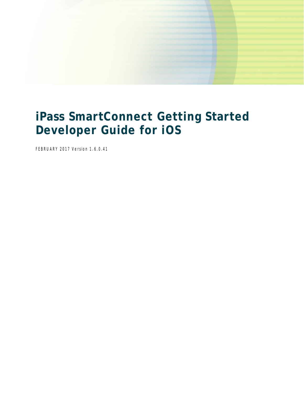

# **iPass SmartConnect Getting Started Developer Guide for iOS**

FEBRUARY 2017 Version 1.6.0.41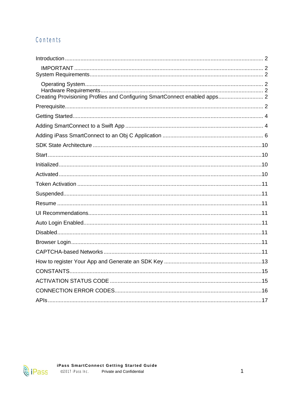# Contents

| Creating Provisioning Profiles and Configuring SmartConnect enabled apps 2 |
|----------------------------------------------------------------------------|
|                                                                            |
|                                                                            |
|                                                                            |
|                                                                            |
|                                                                            |
|                                                                            |
|                                                                            |
|                                                                            |
|                                                                            |
|                                                                            |
|                                                                            |
|                                                                            |
|                                                                            |
|                                                                            |
|                                                                            |
|                                                                            |
|                                                                            |
|                                                                            |
|                                                                            |
|                                                                            |
|                                                                            |

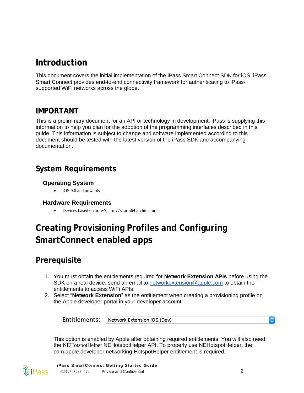# <span id="page-2-0"></span>**Introduction**

This document covers the initial implementation of the iPass Smart Connect SDK for iOS. iPass Smart Connect provides end-to-end connectivity framework for authenticating to iPasssupported WiFi networks across the globe.

#### <span id="page-2-1"></span>**IMPORTANT**

This is a preliminary document for an API or technology in development. iPass is supplying this information to help you plan for the adoption of the programming interfaces described in this guide. This information is subject to change and software implemented according to this document should be tested with the latest version of the iPass SDK and accompanying documentation.

# <span id="page-2-3"></span><span id="page-2-2"></span>**System Requirements**

#### **Operating System**

∑ iOS 9.0 and onwards

#### <span id="page-2-4"></span>**Hardware Requirements**

● Devices based on armv7, armv7s, arm64 architecture

# <span id="page-2-5"></span>**Creating Provisioning Profiles and Configuring SmartConnect enabled apps**

## <span id="page-2-6"></span>**Prerequisite**

- 1. You must obtain the entitlements required for **Network Extension APIs** before using the SDK on a real device: send an email to networkextension@apple.com to obtain the entitlements to access WiFi APIs.
- 2. Select "**Network Extension**" as the entitlement when creating a provisioning profile on the Apple developer portal in your developer account:

Entitlements: Network Extension iOS (Dev)

 $\Diamond$ 

This option is enabled by Apple after obtaining required entitlements. You will also need the NEHotspotHelper NEHotspotHelper API. To properly use NEHotspotHelper, the com.apple.developer.networking.HotspotHelper entitlement is required.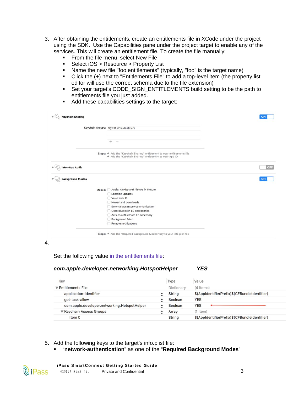- 3. After obtaining the entitlements, create an entitlements file in XCode under the project using the SDK. Use the Capabilities pane under the project target to enable any of the services. This will create an entitlement file. To create the file manually:
	- **From the file menu, select New File**
	- **Select iOS > Resource > Property List**
	- Name the new file "foo.entitlements" (typically, "foo" is the target name)
	- Click the (+) next to "Entitlements File" to add a top-level item (the property list editor will use the correct schema due to the file extension)
	- Set your target's CODE\_SIGN\_ENTITLEMENTS build setting to be the path to entitlements file you just added.
	- Add these capabilities settings to the target:

|                         | Keychain Groups: \$(CFBundleIdentifier)                                                                                              |     |
|-------------------------|--------------------------------------------------------------------------------------------------------------------------------------|-----|
|                         |                                                                                                                                      |     |
|                         |                                                                                                                                      |     |
|                         | Steps: √ Add the "Keychain Sharing" entitlement to your entitlements file<br>√ Add the "Keychain Sharing" entitlement to your App ID |     |
| <b>Inter-App Audio</b>  |                                                                                                                                      | OFF |
| <b>Background Modes</b> |                                                                                                                                      | ON  |
|                         | Modes: Audio, AirPlay and Picture in Picture                                                                                         |     |
|                         |                                                                                                                                      |     |
|                         | Location updates                                                                                                                     |     |
|                         | Voice over IP                                                                                                                        |     |
|                         | Newsstand downloads                                                                                                                  |     |
|                         | External accessory communication                                                                                                     |     |
|                         | Uses Bluetooth LE accessories                                                                                                        |     |
|                         | Acts as a Bluetooth LE accessory                                                                                                     |     |
|                         | Background fetch                                                                                                                     |     |
|                         | Remote notifications                                                                                                                 |     |

4.

<u>ह</u>ैि iPass

Set the following value in the entitlements file:

#### *com.apple.developer.networking.HotspotHelper YES*

| Key                                          | Type           | Value                                         |
|----------------------------------------------|----------------|-----------------------------------------------|
| <b>▼ Entitlements File</b>                   | Dictionary     | (4 items)                                     |
| application-identifier                       | <b>String</b>  | \$(AppldentifierPrefix)\$(CFBundleIdentifier) |
| get-task-allow                               | Boolean        | <b>YES</b>                                    |
| com.apple.developer.networking.HotspotHelper | <b>Boolean</b> | <b>YES</b>                                    |
| ▼ Keychain Access Groups                     | Array          | $(1$ item)                                    |
| Item 0                                       | <b>String</b>  | \$(AppIdentifierPrefix)\$(CFBundleIdentifier) |

- 5. Add the following keys to the target's info.plist file:
	- ß "**network-authentication**" as one of the "**Required Background Modes**"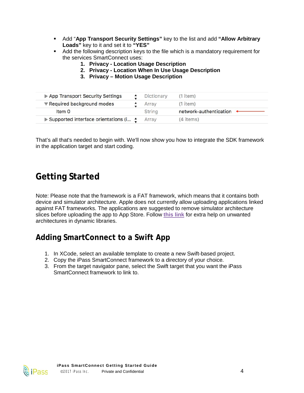- ß Add "**App Transport Security Settings"** key to the list and add **"Allow Arbitrary Loads"** key to it and set it to **"YES"**
- Add the following description keys to the file which is a mandatory requirement for the services SmartConnect uses:
	- **1. Privacy Location Usage Description**
	- **2. Privacy Location When In Use Usage Description**
	- **3. Privacy Motion Usage Description**

| App Transport Security Settings               | Dictionary    | $(1$ item)             |
|-----------------------------------------------|---------------|------------------------|
| ▼ Required background modes                   | Array         | $(1$ item)             |
| Item 0                                        | <b>String</b> | network-authentication |
| ▶ Supported interface orientations (i • Array |               | (4 items)              |

That's all that's needed to begin with. We'll now show you how to integrate the SDK framework in the application target and start coding.

# <span id="page-4-0"></span>**Getting Started**

Note: Please note that the framework is a FAT framework, which means that it contains both device and simulator architecture. Apple does not currently allow uploading applications linked against FAT frameworks. The applications are suggested to remove simulator architecture slices before uploading the app to App Store. Follow **[this link](http://www.google.com/url?q=http%3A%2F%2Fikennd.ac%2Fblog%2F2015%2F02%2Fstripping-unwanted-architectures-from-dynamic-libraries-in-xcode%2F&sa=D&sntz=1&usg=AFQjCNHOwb1a4jEemeIYbNoPb5O-OCnEFA)** for extra help on unwanted architectures in dynamic libraries.

## <span id="page-4-1"></span>**Adding SmartConnect to a Swift App**

- 1. In XCode, select an available template to create a new Swift-based project.
- 2. Copy the iPass SmartConnect framework to a directory of your choice.
- 3. From the target navigator pane, select the Swift target that you want the iPass SmartConnect framework to link to.

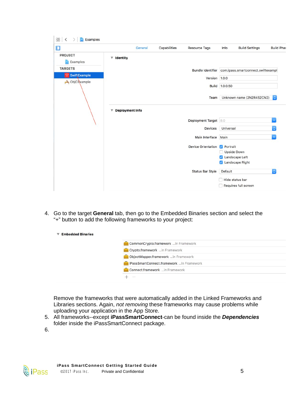| $\Box$                     | General           | Capabilities | Resource Tags             | Info            | <b>Build Settings</b>                                | <b>Build Phas</b>  |
|----------------------------|-------------------|--------------|---------------------------|-----------------|------------------------------------------------------|--------------------|
| <b>PROJECT</b><br>Examples | $\Psi$ Identity   |              |                           |                 |                                                      |                    |
| <b>TARGETS</b>             |                   |              |                           |                 | Bundle Identifier com.ipass.smartconnect.swiftexampl |                    |
| <b>SwiftExample</b>        |                   |              | Version 1.0.0             |                 |                                                      |                    |
| ObjCBxample                |                   |              |                           |                 |                                                      |                    |
|                            |                   |              |                           | Build 1.0.0.50  |                                                      |                    |
|                            |                   |              |                           |                 | Team Unknown name (2N2R452CN2)                       | $ \diamond\rangle$ |
|                            | ▼ Deployment Info |              |                           |                 |                                                      |                    |
|                            |                   |              | Deployment Target 8.0     |                 |                                                      | ×                  |
|                            |                   |              | <b>Devices</b>            | Universal       |                                                      | $ \diamond\rangle$ |
|                            |                   |              | Main Interface Main       |                 |                                                      | $\mathbf{v}$       |
|                            |                   |              | <b>Device Orientation</b> | <b>Portrait</b> |                                                      |                    |
|                            |                   |              |                           | Upside Down     |                                                      |                    |
|                            |                   |              |                           |                 | Landscape Left                                       |                    |
|                            |                   |              |                           |                 | Landscape Right                                      |                    |
|                            |                   |              | <b>Status Bar Style</b>   | <b>Default</b>  |                                                      | $\ddot{\bullet}$   |
|                            |                   |              |                           |                 | Hide status bar                                      |                    |
|                            |                   |              |                           |                 | Requires full screen                                 |                    |

4. Go to the target **General** tab, then go to the Embedded Binaries section and select the "+" button to add the following frameworks to your project:

| CommonCrypto.framework  in Framework     |
|------------------------------------------|
| Crypto.framework in Framework            |
| ObjectMapper.framework in Framework      |
| iPassSmartConnect.framework in Framework |
| Connect.framework in Framework           |
| $\sim$                                   |

Remove the frameworks that were automatically added in the Linked Frameworks and Libraries sections. Again, *not removing* these frameworks may cause problems while uploading your application in the App Store.

5. All frameworks--except **iPassSmartConnect**-can be found inside the *Dependencies* folder inside the iPassSmartConnect package.

6.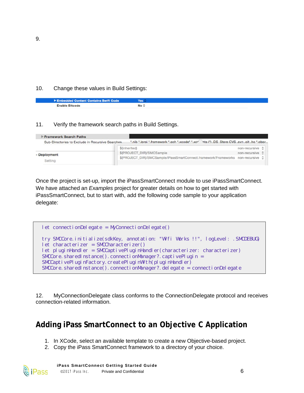#### 10. Change these values in Build Settings:

| Embedded Content Contains Swift Code | Yes  |
|--------------------------------------|------|
| <b>Enable Bitcode</b>                | No ≎ |

#### 11. Verify the framework search paths in Build Settings.

| Framework Search Paths                            |                                                                                           |                 |  |
|---------------------------------------------------|-------------------------------------------------------------------------------------------|-----------------|--|
| Sub-Directories to Exclude in Recursive Searches. | ".nib *.loroi *.framework *.ach *.xcode* *.xcr ets (*) .DS Store CVS .svn .ait .ha *.pbpr |                 |  |
|                                                   | \$(inherited)                                                                             | non-recursive C |  |
| - Deployment                                      | \$(PROJECT_DIR)/SMCSample                                                                 | non-recursive C |  |
| Setting                                           | \$(PROJECT_DIR)/SMCSample/iPassSmartConnect.framework/Frameworks non-recursive 2          |                 |  |

Once the project is set-up, import the iPassSmartConnect module to use iPassSmartConnect. We have attached an *Examples* project for greater details on how to get started with iPassSmartConnect, but to start with, add the following code sample to your application delegate:

```
let connectionDelegate = MyConnectionDelegate()
try SMCCore.initialize(sdkKey, annotation: "Wifi Works !!", logLevel: .SMCDEBUG)
let characterizer = SMCCharacterizer()
let pluginHandler = SMCCaptivePluginHandler(characterizer: characterizer)
SMCCore. sharedInstance(). connectionManager?. captivePlugin =
SMCCaptivePluginFactory.createPluginWith(pluginHandler)
SMCCore. sharedInstance(). connectionManager?.delegate = connectionDelegate
```
12. MyConnectionDelegate class conforms to the ConnectionDelegate protocol and receives connection-related information.

## <span id="page-6-0"></span>**Adding iPass SmartConnect to an Objective C Application**

1. In XCode, select an available template to create a new Objective-based project.

2. Copy the iPass SmartConnect framework to a directory of your choice.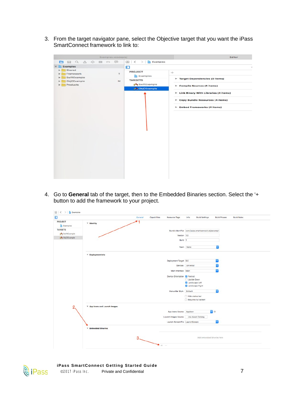3. From the target navigator pane, select the Objective target that you want the iPass SmartConnect framework to link to:

|                                                                      | Examples.xcodepro             |                                                                                         | Editor                                                                                                                                                                       |   |
|----------------------------------------------------------------------|-------------------------------|-----------------------------------------------------------------------------------------|------------------------------------------------------------------------------------------------------------------------------------------------------------------------------|---|
| RQAO ED E<br><b>E</b>                                                |                               | $\mathbb{E}$ $\mathbb{E}$ $\langle \rangle$ $\mathbb{E}$ Examples                       |                                                                                                                                                                              |   |
| Examples                                                             |                               | $\Box$                                                                                  |                                                                                                                                                                              | × |
| Shared<br>۳.<br>Framework<br>SwiftExample<br>ObjCExample<br>Products | $\overline{\phantom{a}}$<br>M | <b>PROJECT</b><br>En Examples<br><b>TARGETS</b><br>SwiftExample<br><b>A</b> ObjCExample | $+$<br>Target Dependencies (0 items)<br>Compile Sources (5 items)<br>E Link Binary With Libraries (4 items)<br>Copy Bundle Resources (4 items)<br>Embed Frameworks (4 items) |   |
|                                                                      |                               |                                                                                         |                                                                                                                                                                              |   |

4. Go to **General** tab of the target, then to the Embedded Binaries section. Select the '+ button to add the framework to your project.

| $\Box$              |                                  | General | Capabilities    | Resource Tags                        | Info                              | <b>Build Settings</b>                                | Build Phases | <b>Build Rules</b> |
|---------------------|----------------------------------|---------|-----------------|--------------------------------------|-----------------------------------|------------------------------------------------------|--------------|--------------------|
| PROJECT<br>Examples | $\overline{\mathbf{v}}$ Identity |         |                 |                                      |                                   |                                                      |              |                    |
| <b>TARGETS</b>      |                                  |         |                 |                                      |                                   | Bundle Identifier com.ipass.smartconnect.objcexample |              |                    |
| SwiftExample        |                                  |         |                 | Version 1.0                          |                                   |                                                      |              |                    |
| A ObjCExample       |                                  |         |                 | Build 1                              |                                   |                                                      |              |                    |
|                     |                                  |         |                 |                                      |                                   |                                                      |              |                    |
|                     |                                  |         |                 |                                      | Team None                         |                                                      |              |                    |
|                     | ▼ Deployment Info                |         |                 |                                      |                                   |                                                      |              |                    |
|                     |                                  |         |                 | Deployment Target 9.0                |                                   |                                                      |              |                    |
|                     |                                  |         |                 |                                      | Devices Universal                 |                                                      |              |                    |
|                     |                                  |         |                 | Main Interface Main                  |                                   |                                                      |              |                    |
|                     |                                  |         |                 | Device Orientation <b>D</b> Portrait | Upside Down                       |                                                      |              |                    |
|                     |                                  |         |                 |                                      | Landscape Left<br>Landscape Right |                                                      |              |                    |
|                     |                                  |         |                 | Status Bar Style Default             |                                   |                                                      | $\sim$       |                    |
|                     |                                  |         |                 |                                      | Hide status bar                   |                                                      |              |                    |
|                     |                                  |         |                 |                                      |                                   | Requires full screen                                 |              |                    |
| 2,                  | ▼ App Icons and Launch Images    |         |                 |                                      |                                   |                                                      |              |                    |
|                     |                                  |         |                 | App Icons Source Applcon             |                                   |                                                      | $e$ $o$      |                    |
|                     |                                  |         |                 | Launch Images Source                 |                                   | Use Asset Catalog                                    |              |                    |
|                     |                                  |         |                 | Launch Screen File LaunchScreen      |                                   |                                                      |              |                    |
|                     | $\nabla$ Embedded Binaries       |         |                 |                                      |                                   |                                                      |              |                    |
|                     |                                  | $3 -$   |                 |                                      |                                   | Add embedded binaries here                           |              |                    |
|                     |                                  |         | $\rightarrow +$ |                                      |                                   |                                                      |              |                    |

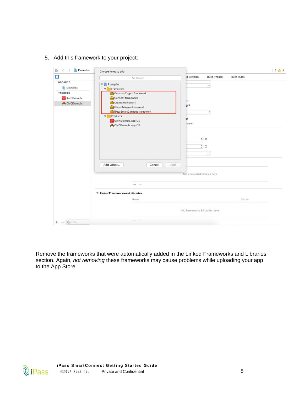| $\Box$                                                                      | Q Search                                                                                                                                                                                                                                             | <b>Id Settings</b><br><b>Build Phases</b><br><b>Build Rules</b>  |  |
|-----------------------------------------------------------------------------|------------------------------------------------------------------------------------------------------------------------------------------------------------------------------------------------------------------------------------------------------|------------------------------------------------------------------|--|
| <b>PROJECT</b><br>Examples<br><b>TARGETS</b><br>SwiftExample<br>ObjCExample | $\nabla$ Examples<br>Framework<br>$\blacktriangledown$<br>CommonCrypto.framework<br>Connect.framework<br>Crypto.framework<br>ObjectMapper.framework<br>iPassSmartConnect.framework<br><b>V</b> Products<br>SwiftExample.applOS<br>ObjCExample.applOS | $\checkmark$<br>eft<br>ght<br>$\hat{\mathbb{C}}$<br>ār<br>screen |  |
|                                                                             | Add Other<br>Add<br>Cancel                                                                                                                                                                                                                           | $\circ$ $\circ$<br>$\circ$ $\circ$<br>$\checkmark$               |  |
|                                                                             | $+ -$                                                                                                                                                                                                                                                | Add embedded binaries here                                       |  |
|                                                                             | $\Psi$ Linked Frameworks and Libraries<br>Name                                                                                                                                                                                                       | <b>Status</b>                                                    |  |
|                                                                             |                                                                                                                                                                                                                                                      | Add frameworks & libraries here                                  |  |
|                                                                             |                                                                                                                                                                                                                                                      |                                                                  |  |

5. Add this framework to your project:

Remove the frameworks that were automatically added in the Linked Frameworks and Libraries section. Again, *not removing* these frameworks may cause problems while uploading your app to the App Store.

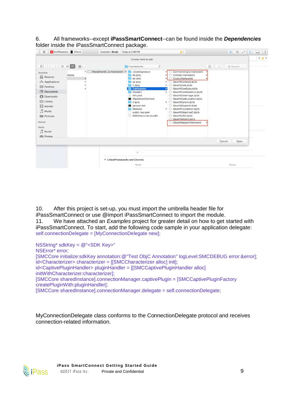6. All frameworks--except **iPassSmartConnect**--can be found inside the *Dependencies* folder inside the iPassSmartConnect package.

| SwiftExample FiPhone<br>$-10 - 1$                                                                                                                                                                                                                                                                                                                   | Examples: Ready   Today at 2:46 PM |                                                                                                                                                                                                                                                                   | $\Delta$ 1                                                                                                                                                                                                                                                                                                                                                                                                                                                | $E \otimes G$ $\Box$       |                          |
|-----------------------------------------------------------------------------------------------------------------------------------------------------------------------------------------------------------------------------------------------------------------------------------------------------------------------------------------------------|------------------------------------|-------------------------------------------------------------------------------------------------------------------------------------------------------------------------------------------------------------------------------------------------------------------|-----------------------------------------------------------------------------------------------------------------------------------------------------------------------------------------------------------------------------------------------------------------------------------------------------------------------------------------------------------------------------------------------------------------------------------------------------------|----------------------------|--------------------------|
| $\mathbb{S}^{\circ} \equiv \boxed{111}$ $\mathbb{S}^{\circ\circ}_{\mathbb{S}^{\circ}}$<br><b>田 〈 〉</b><br>Favorites<br>deproj<br>B<br>Recents<br>$\curvearrowleft$ Applications<br>Desktop<br>Documents<br><b>C</b> Downloads<br>Library<br>Movies<br>н<br>$\Box$ Music<br><b>IDI</b> Pictures<br>Shared<br>Media<br><b>J</b> Music<br>illin Photos | iPassSmartCct.framework ▶<br>×     | Choose items to add:<br>¢<br>Frameworks<br>CodeSignature<br>de.lproj<br>en.iproj<br>es.iproj<br>fr.lproj<br>Frameworks<br>Headers<br>Info.plist<br>a<br><b>B</b> iPassSmartConnect<br>it.iproj<br>jansson.def<br>Modules<br>public_key.pem<br>SMCResources.bundle | CommonCrypto.framework<br>Connect.framework<br>Crypto.framework<br>libswiftContacts.dylib<br>٠<br>libswiftCore.dylib<br>libswiftCoreData.dylib<br>ы<br>D libswiftCoreGraphics.dylib<br>ibswiftCoreImage.dylib<br>IbswiftCoreLocation.dylib<br>D libswiftDarwin.dylib<br>ibswiftDispatch.dylib<br>$\triangleright$ $\bigcirc$ libswift Foundation.dylib<br>BibswiftObjectiveC.dylib<br>ibswiftUlKit.dylib<br>ibswiftWebKit.dylib<br>ObjectMapper.framework | ô<br>$\subset$<br>Q Search | $\langle \Delta \rangle$ |
|                                                                                                                                                                                                                                                                                                                                                     |                                    |                                                                                                                                                                                                                                                                   |                                                                                                                                                                                                                                                                                                                                                                                                                                                           | Cancel<br>Open             |                          |
|                                                                                                                                                                                                                                                                                                                                                     |                                    | $+$<br><b>College</b>                                                                                                                                                                                                                                             |                                                                                                                                                                                                                                                                                                                                                                                                                                                           |                            |                          |
|                                                                                                                                                                                                                                                                                                                                                     | ▼ Linked Frameworks and Libraries  |                                                                                                                                                                                                                                                                   |                                                                                                                                                                                                                                                                                                                                                                                                                                                           |                            |                          |
|                                                                                                                                                                                                                                                                                                                                                     |                                    | Name                                                                                                                                                                                                                                                              |                                                                                                                                                                                                                                                                                                                                                                                                                                                           | Status                     |                          |

10. After this project is set-up, you must import the umbrella header file for iPassSmartConnect or use @import iPassSmartConnect to import the module.

11. We have attached an *Examples* project for greater detail on how to get started with iPassSmartConnect. To start, add the following code sample in your application delegate: self.connectionDelegate = [MyConnectionDelegate new];

NSString\* sdkKey = @"<SDK Key>"

NSError\* error:

[SMCCore initialize:sdkKey annotation:@"Test ObjC Annotation" logLevel:SMCDEBUG error:&error]; id<Characterizer> characterizer = [[SMCCharacterizer alloc] init];

id<CaptivePluginHandler> pluginHandler = [[SMCCaptivePluginHandler alloc] initWithCharacterizer:characterizer];

[SMCCore sharedInstance].connectionManager.captivePlugin = [SMCCaptivePluginFactory createPluginWith:pluginHandler];

[SMCCore sharedInstance].connectionManager.delegate = self.connectionDelegate;

MyConnectionDelegate class conforms to the ConnectionDelegate protocol and receives connection-related information.

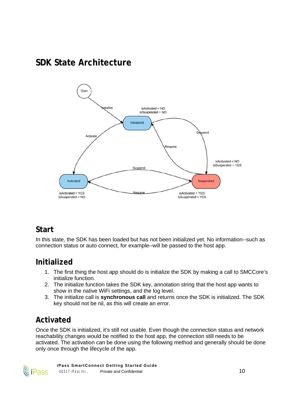# <span id="page-10-0"></span>**SDK State Architecture**



# <span id="page-10-1"></span>**Start**

In this state, the SDK has been loaded but has not been initialized yet. No information--such as connection status or auto connect, for example--will be passed to the host app.

# <span id="page-10-2"></span>**Initialized**

- 1. The first thing the host app should do is initialize the SDK by making a call to SMCCore's initialize function.
- 2. The initialize function takes the SDK key, annotation string that the host app wants to show in the native WiFi settings, and the log level.
- 3. The initialize call is **synchronous call** and returns once the SDK is initialized. The SDK key should not be nil, as this will create an error.

# <span id="page-10-3"></span>**Activated**

Once the SDK is initialized, it's still not usable. Even though the connection status and network reachability changes would be notified to the host app, the connection still needs to be activated. The activation can be done using the following method and generally should be done only once through the lifecycle of the app.

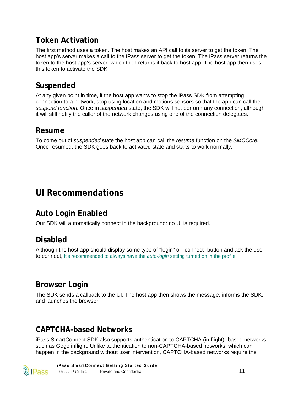# <span id="page-11-0"></span>**Token Activation**

The first method uses a token. The host makes an API call to its server to get the token, The host app's server makes a call to the iPass server to get the token. The iPass server returns the token to the host app's server, which then returns it back to host app. The host app then uses this token to activate the SDK.

## <span id="page-11-1"></span>**Suspended**

At any given point in time, if the host app wants to stop the iPass SDK from attempting connection to a network, stop using location and motions sensors so that the app can call the *suspend function.* Once in *suspended* state, the SDK will not perform any connection, although it will still notify the caller of the network changes using one of the connection delegates.

#### <span id="page-11-2"></span>**Resume**

To come out of *suspended* state the host app can call the *resume* function on the *SMCCore.*  Once resumed, the SDK goes back to activated state and starts to work normally.

# <span id="page-11-3"></span>**UI Recommendations**

# <span id="page-11-4"></span>**Auto Login Enabled**

<span id="page-11-5"></span>Our SDK will automatically connect in the background: no UI is required.

## **Disabled**

Although the host app should display some type of "login" or "connect" button and ask the user to connect, it's recommended to always have the *auto-login* setting turned on in the profile

### <span id="page-11-6"></span>**Browser Login**

The SDK sends a callback to the UI. The host app then shows the message, informs the SDK, and launches the browser.

## <span id="page-11-7"></span>**CAPTCHA-based Networks**

iPass SmartConnect SDK also supports authentication to CAPTCHA (in-flight) -based networks, such as Gogo inflight. Unlike authentication to non-CAPTCHA-based networks, which can happen in the background without user intervention, CAPTCHA-based networks require the

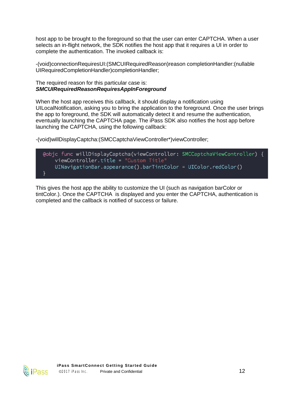host app to be brought to the foreground so that the user can enter CAPTCHA. When a user selects an in-flight network, the SDK notifies the host app that it requires a UI in order to complete the authentication. The invoked callback is:

-(void)connectionRequiresUI:(SMCUIRequiredReason)reason completionHandler:(nullable UIRequiredCompletionHandler)completionHandler;

#### The required reason for this particular case is: *SMCUIRequiredReasonRequiresAppInForeground*

When the host app receives this callback, it should display a notification using UILocalNotification, asking you to bring the application to the foreground. Once the user brings the app to foreground, the SDK will automatically detect it and resume the authentication, eventually launching the CAPTCHA page. The iPass SDK also notifies the host app before launching the CAPTCHA, using the following callback:

-(void)willDisplayCaptcha:(SMCCaptchaViewController\*)viewController;



This gives the host app the ability to customize the UI (such as navigation barColor or tintColor.). Once the CAPTCHA is displayed and you enter the CAPTCHA, authentication is completed and the callback is notified of success or failure.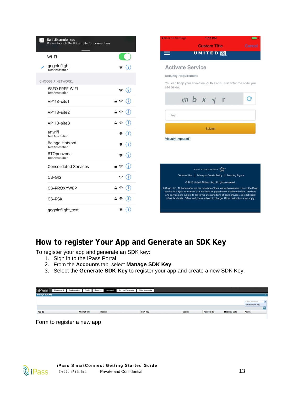| SwiftExample now<br>Please launch SwiftExample for connection |                                |
|---------------------------------------------------------------|--------------------------------|
| Wi-Fi                                                         |                                |
| gogoinflight<br>TestAnnotation                                | T                              |
| <b>CHOOSE A NETWORK</b>                                       |                                |
| #SFO FREE WIFI<br>TestAnnotation                              | (i)<br>令                       |
| AP118-site1                                                   | (i)<br>$A \approx$             |
| AP118-site2                                                   | $\theta \in (i)$               |
| AP118-site3                                                   | $\mathbf{a} \in (i)$           |
| attwifi<br>TestAnnotation                                     | Œ<br>令                         |
| Boingo Hotspot<br>TestAnnotation                              | G)<br>$\hat{z}$                |
| <b>BTOpenzone</b><br>TestAnnotation                           | Œ<br>÷,                        |
| <b>Consolidated Services</b>                                  | (i)<br>$\hat{=}$               |
| CS-GIS                                                        | G.<br>令                        |
| <b>CS-PROXYWEP</b>                                            | (i)<br>$\widehat{\mathcal{P}}$ |
| <b>CS-PSK</b>                                                 | Œ<br>$\widehat{\mathcal{F}}$   |
| gogoinflight_test                                             | Œ<br>ទ                         |

# <span id="page-13-0"></span>**How to register Your App and Generate an SDK Key**

To register your app and generate an SDK key:

- 1. Sign in to the iPass Portal.
- 2. From the **Accounts** tab, select **Manage SDK Key**.
- 3. Select the **Generate SDK Key** to register your app and create a new SDK Key.

| <b>l</b> iPass        | Dashboard | Configuration | Tools              | <b>Reports</b> | Account | Service Packages | <b>Child Accounts</b> |               |             |                      |                  |        |
|-----------------------|-----------|---------------|--------------------|----------------|---------|------------------|-----------------------|---------------|-------------|----------------------|------------------|--------|
| <b>Manage SDK Key</b> |           |               |                    |                |         |                  |                       |               |             |                      |                  |        |
|                       |           |               |                    |                |         |                  |                       |               |             |                      | Select an action | iv.    |
|                       |           |               |                    |                |         |                  |                       |               |             |                      | Generate SDK Key |        |
|                       |           |               |                    |                |         |                  |                       |               |             |                      |                  | -<br>G |
| App ID                |           |               | <b>OS Platform</b> | Protocol       |         |                  | <b>SDK Key</b>        | <b>Status</b> | Modified By | <b>Modified Date</b> | Action           |        |
|                       |           |               |                    |                |         |                  |                       |               |             |                      |                  |        |

Form to register a new app

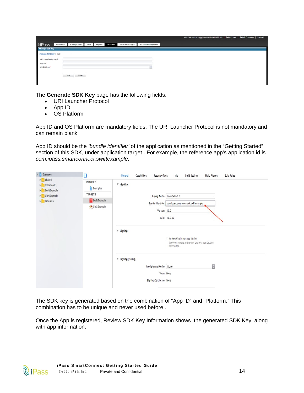|                            |                                                                                        | Welcome symphony@ipass.com from IPASS INC.   Switch User   Switch Company   Log out |
|----------------------------|----------------------------------------------------------------------------------------|-------------------------------------------------------------------------------------|
| <b>NiPass</b><br>Dashboard | Account Management<br>Service Packages<br>Configuration<br>Reports<br>Account<br>Tools |                                                                                     |
| Manage SDK Key             |                                                                                        |                                                                                     |
| Manage SDK Key > Add       | 197                                                                                    |                                                                                     |
| URI Launcher Protocol      |                                                                                        |                                                                                     |
| App ID*                    |                                                                                        |                                                                                     |
| OS Platform*               |                                                                                        |                                                                                     |
|                            | Save.<br><b>Depat</b>                                                                  |                                                                                     |
|                            |                                                                                        |                                                                                     |
|                            |                                                                                        |                                                                                     |

The **Generate SDK Key** page has the following fields:

- URI Launcher Protocol
- ∑ App ID
- **OS Platform**

App ID and OS Platform are mandatory fields. The URI Launcher Protocol is not mandatory and can remain blank.

App ID should be the *'bundle identifier'* of the application as mentioned in the "Getting Started" section of this SDK, under application target . For example, the reference app's application id is *com.ipass.smartconnect.swiftexample*.

| $\mathbf{v}$ $\mathbf{F}$ Examples         | $\Box$              | Info<br><b>Build Rules</b><br>Capabilities<br>Resource Tags<br><b>Build Settings</b><br><b>Build Phases</b><br>General |
|--------------------------------------------|---------------------|------------------------------------------------------------------------------------------------------------------------|
| <b>Shared</b><br>Framework<br>SwiftExample | PROJECT<br>Examples | ▼ Identity                                                                                                             |
| DbjCExample                                | <b>TARGETS</b>      | Display Name   iPass Works !!                                                                                          |
| $\blacktriangleright$ Products             | SwiftExample        | Bundle Identifier com.ipass.smartconnect.swiftexample                                                                  |
|                                            | ObjCExample         | Version 1.0.0<br>Build 1.0.0.50                                                                                        |
|                                            |                     | $\Psi$ Signing<br>Automatically manage signing<br>Xcode will create and update profiles, app IDs, and<br>certificates. |
|                                            |                     | ▼ Signing (Debug)<br>¢<br>Provisioning Profile None<br>Team None<br>Signing Certificate None                           |

The SDK key is generated based on the combination of "App ID" and "Platform." This combination has to be unique and never used before..

Once the App is registered, Review SDK Key Information shows the generated SDK Key, along with app information.

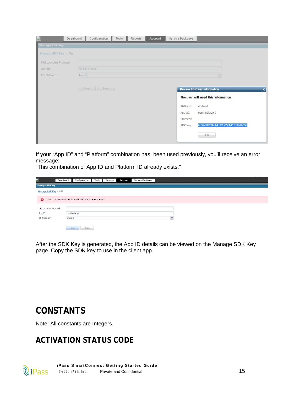|                          | Dashboard<br>Configuration<br>Reports<br>Tools | Service Packages<br><b>Account</b>                                                                                                                                                                                             |
|--------------------------|------------------------------------------------|--------------------------------------------------------------------------------------------------------------------------------------------------------------------------------------------------------------------------------|
| Manage SDK Key           |                                                |                                                                                                                                                                                                                                |
| Manage SDK Key > Add     |                                                |                                                                                                                                                                                                                                |
| URI Launcher Protocol    |                                                |                                                                                                                                                                                                                                |
| App ID*                  | com.trialappid                                 |                                                                                                                                                                                                                                |
| OS Platform <sup>®</sup> | Android                                        | $\sim$                                                                                                                                                                                                                         |
|                          | Save Reset                                     | <b>Review SDK Key Information</b><br>$\boldsymbol{\mathsf{x}}$<br>The user will need this information<br>Platform:<br>Android<br>com.trialappid<br>App ID:<br>Protocol:<br>6f06e1867bf34d12b05f101518af6554<br>SDK Key:<br>OK- |

If your "App ID" and "Platform" combination has been used previously, you'll receive an error message:

"This combination of App ID and Platform ID already exists."

| R                                                                       | Dashboard | Configuration  | <b>Tools</b> | Reports | <b>Account</b> | <b>Service Packages</b> |  |              |  |  |  |  |
|-------------------------------------------------------------------------|-----------|----------------|--------------|---------|----------------|-------------------------|--|--------------|--|--|--|--|
| <b>Manage SDK Key</b>                                                   |           |                |              |         |                |                         |  |              |  |  |  |  |
| Manage SDK Key > Add                                                    |           |                |              |         |                |                         |  |              |  |  |  |  |
| $\bullet$<br>This combination of APP ID and PLATFORM ID already exists. |           |                |              |         |                |                         |  |              |  |  |  |  |
| URI Launcher Protocol                                                   |           |                |              |         |                |                         |  |              |  |  |  |  |
| App ID*                                                                 |           | com.trialappid |              |         |                |                         |  |              |  |  |  |  |
| OS Platform*                                                            | Android   |                |              |         |                |                         |  | $\mathbf{v}$ |  |  |  |  |
|                                                                         |           | Reset<br>Save  |              |         |                |                         |  |              |  |  |  |  |

After the SDK Key is generated, the App ID details can be viewed on the Manage SDK Key page. Copy the SDK key to use in the client app.

# <span id="page-15-0"></span>**CONSTANTS**

<span id="page-15-1"></span>Note: All constants are Integers.

# **ACTIVATION STATUS CODE**

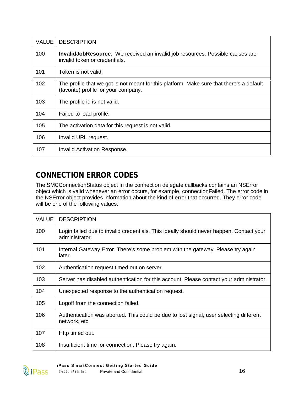| <b>VALUE</b> | <b>DESCRIPTION</b>                                                                                                               |
|--------------|----------------------------------------------------------------------------------------------------------------------------------|
| 100          | <b>InvalidJobResource:</b> We received an invalid job resources. Possible causes are<br>invalid token or credentials.            |
| 101          | Token is not valid.                                                                                                              |
| 102          | The profile that we got is not meant for this platform. Make sure that there's a default<br>(favorite) profile for your company. |
| 103          | The profile id is not valid.                                                                                                     |
| 104          | Failed to load profile.                                                                                                          |
| 105          | The activation data for this request is not valid.                                                                               |
| 106          | Invalid URL request.                                                                                                             |
| 107          | Invalid Activation Response.                                                                                                     |

# <span id="page-16-0"></span>**CONNECTION ERROR CODES**

The SMCConnectionStatus object in the connection delegate callbacks contains an NSError object which is valid whenever an error occurs, for example, connectionFailed. The error code in the NSError object provides information about the kind of error that occurred. They error code will be one of the following values:

| <b>VALUE</b> | <b>DESCRIPTION</b>                                                                                        |
|--------------|-----------------------------------------------------------------------------------------------------------|
| 100          | Login failed due to invalid credentials. This ideally should never happen. Contact your<br>administrator. |
| 101          | Internal Gateway Error. There's some problem with the gateway. Please try again<br>later.                 |
| 102          | Authentication request timed out on server.                                                               |
| 103          | Server has disabled authentication for this account. Please contact your administrator.                   |
| 104          | Unexpected response to the authentication request.                                                        |
| 105          | Logoff from the connection failed.                                                                        |
| 106          | Authentication was aborted. This could be due to lost signal, user selecting different<br>network, etc.   |
| 107          | Http timed out.                                                                                           |
| 108          | Insufficient time for connection. Please try again.                                                       |